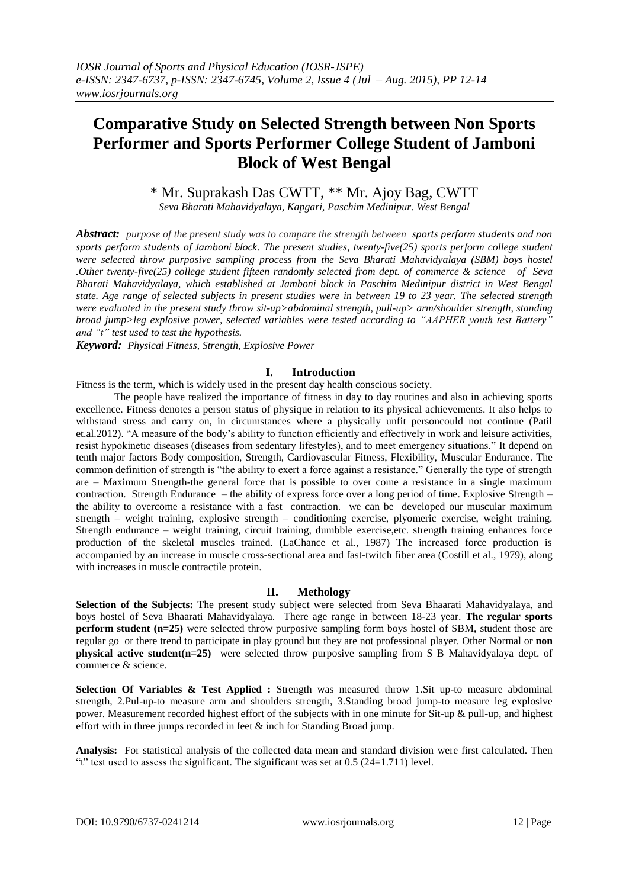# **Comparative Study on Selected Strength between Non Sports Performer and Sports Performer College Student of Jamboni Block of West Bengal**

\* Mr. Suprakash Das CWTT, \*\* Mr. Ajoy Bag, CWTT *Seva Bharati Mahavidyalaya, Kapgari, Paschim Medinipur. West Bengal*

*Abstract: purpose of the present study was to compare the strength between sports perform students and non sports perform students of Jamboni block. The present studies, twenty-five(25) sports perform college student were selected throw purposive sampling process from the Seva Bharati Mahavidyalaya (SBM) boys hostel .Other twenty-five(25) college student fifteen randomly selected from dept. of commerce & science of Seva Bharati Mahavidyalaya, which established at Jamboni block in Paschim Medinipur district in West Bengal state. Age range of selected subjects in present studies were in between 19 to 23 year. The selected strength were evaluated in the present study throw sit-up>abdominal strength, pull-up> arm/shoulder strength, standing broad jump>leg explosive power, selected variables were tested according to "AAPHER youth test Battery" and "t" test used to test the hypothesis.*

*Keyword: Physical Fitness, Strength, Explosive Power*

# **I. Introduction**

Fitness is the term, which is widely used in the present day health conscious society.

The people have realized the importance of fitness in day to day routines and also in achieving sports excellence. Fitness denotes a person status of physique in relation to its physical achievements. It also helps to withstand stress and carry on, in circumstances where a physically unfit personcould not continue (Patil et.al.2012). "A measure of the body"s ability to function efficiently and effectively in work and leisure activities, resist hypokinetic diseases (diseases from sedentary lifestyles), and to meet emergency situations." It depend on tenth major factors Body composition, Strength, Cardiovascular Fitness, Flexibility, Muscular Endurance. The common definition of strength is "the ability to exert a force against a resistance." Generally the type of strength are – Maximum Strength-the general force that is possible to over come a resistance in a single maximum contraction. Strength Endurance – the ability of express force over a long period of time. Explosive Strength – the ability to overcome a resistance with a fast contraction. we can be developed our muscular maximum strength – weight training, explosive strength – conditioning exercise, plyomeric exercise, weight training. Strength endurance – weight training, circuit training, dumbble exercise,etc. strength training enhances force production of the skeletal muscles trained. (LaChance et al., 1987) The increased force production is accompanied by an increase in muscle cross-sectional area and fast-twitch fiber area (Costill et al., 1979), along with increases in muscle contractile protein.

### **II. Methology**

**Selection of the Subjects:** The present study subject were selected from Seva Bhaarati Mahavidyalaya, and boys hostel of Seva Bhaarati Mahavidyalaya. There age range in between 18-23 year. **The regular sports perform student** (n=25) were selected throw purposive sampling form boys hostel of SBM, student those are regular go or there trend to participate in play ground but they are not professional player. Other Normal or **non physical active student(n=25)** were selected throw purposive sampling from S B Mahavidyalaya dept. of commerce & science.

**Selection Of Variables & Test Applied :** Strength was measured throw 1.Sit up-to measure abdominal strength, 2.Pul-up-to measure arm and shoulders strength, 3.Standing broad jump-to measure leg explosive power. Measurement recorded highest effort of the subjects with in one minute for Sit-up & pull-up, and highest effort with in three jumps recorded in feet  $\&$  inch for Standing Broad jump.

**Analysis:** For statistical analysis of the collected data mean and standard division were first calculated. Then "t" test used to assess the significant. The significant was set at  $0.5$  (24=1.711) level.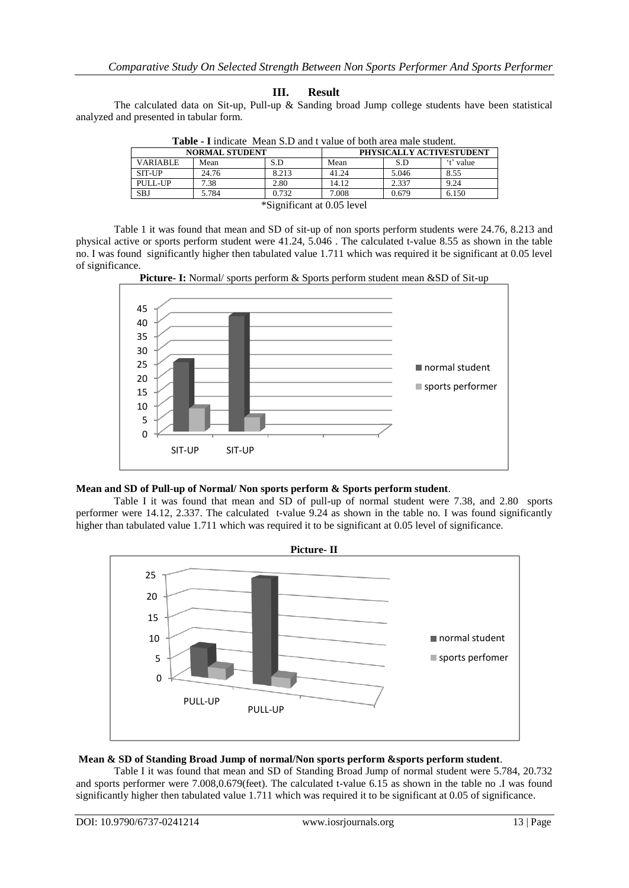## **III. Result**

The calculated data on Sit-up, Pull-up  $\&$  Sanding broad Jump college students have been statistical analyzed and presented in tabular form.

| <b>Table - I</b> indicate Mean S.D and I value of both area male student. |       |       |                          |       |           |  |  |
|---------------------------------------------------------------------------|-------|-------|--------------------------|-------|-----------|--|--|
| <b>NORMAL STUDENT</b>                                                     |       |       | PHYSICALLY ACTIVESTUDENT |       |           |  |  |
| <b>VARIABLE</b>                                                           | Mean  | S.D   | Mean                     | S.D   | 't' value |  |  |
| <b>SIT-UP</b>                                                             | 24.76 | 8.213 | 41.24                    | 5.046 | 8.55      |  |  |
| PULL-UP                                                                   | 7.38  | 2.80  | 14.12                    | 2.337 | 9.24      |  |  |
| <b>SBJ</b>                                                                | 5.784 | 0.732 | 7.008                    | 0.679 | 6.150     |  |  |
| *Significant at 0.05 level                                                |       |       |                          |       |           |  |  |

|  | <b>Table - I</b> indicate Mean S.D and t value of both area male student. |  |
|--|---------------------------------------------------------------------------|--|
|--|---------------------------------------------------------------------------|--|

Table 1 it was found that mean and SD of sit-up of non sports perform students were 24.76, 8.213 and physical active or sports perform student were 41.24, 5.046 . The calculated t-value 8.55 as shown in the table no. I was found significantly higher then tabulated value 1.711 which was required it be significant at 0.05 level of significance.



**Picture- I:** Normal/ sports perform & Sports perform student mean &SD of Sit-up

### **Mean and SD of Pull-up of Normal/ Non sports perform & Sports perform student**.

Table I it was found that mean and SD of pull-up of normal student were 7.38, and 2.80 sports performer were 14.12, 2.337. The calculated t-value 9.24 as shown in the table no. I was found significantly higher than tabulated value 1.711 which was required it to be significant at 0.05 level of significance.



### **Mean & SD of Standing Broad Jump of normal/Non sports perform &sports perform student**.

Table I it was found that mean and SD of Standing Broad Jump of normal student were 5.784, 20.732 and sports performer were 7.008,0.679(feet). The calculated t-value 6.15 as shown in the table no .I was found significantly higher then tabulated value 1.711 which was required it to be significant at 0.05 of significance.